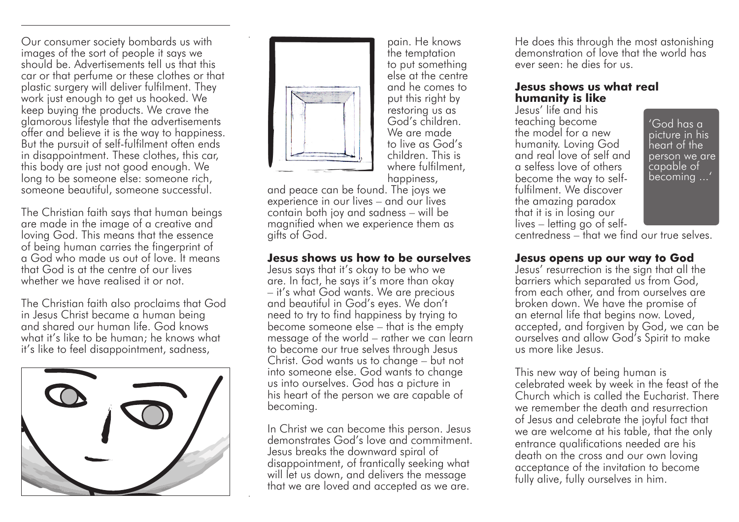Our consumer society bombards us with images of the sort of people it says we should be. Advertisements tell us that this car or that perfume or these clothes or that plastic surgery will deliver fulfilment. They work just enough to get us hooked. We keep buying the products. We crave the glamorous lifestyle that the advertisements offer and believe it is the way to happiness. But the pursuit of self-fulfilment often ends in disappointment. These clothes, this car, this body are just not good enough. We long to be someone else: someone rich, someone beautiful, someone successful.

The Christian faith says that human beings are made in the image of a creative and loving God. This means that the essence of being human carries the fingerprint of a God who made us out of love. It means that God is at the centre of our lives whether we have realised it or not.

The Christian faith also proclaims that God in Jesus Christ became a human being and shared our human life. God knows what it's like to be human; he knows what it's like to feel disappointment, sadness,





pain. He knows the temptation to put something else at the centre and he comes to put this right by restoring us as God's children. We are made to live as God's children. This is where fulfilment, happiness,

and peace can be found. The joys we experience in our lives – and our lives contain both joy and sadness – will be magnified when we experience them as gifts of God.

## **Jesus shows us how to be ourselves**

Jesus says that it's okay to be who we are. In fact, he says it's more than okay – it's what God wants. We are precious and beautiful in God's eyes. We don't need to try to find happiness by trying to become someone else – that is the empty message of the world – rather we can learn to become our true selves through Jesus Christ. God wants us to change – but not into someone else. God wants to change us into ourselves. God has a picture in his heart of the person we are capable of becoming.

In Christ we can become this person. Jesus demonstrates God's love and commitment. Jesus breaks the downward spiral of disappointment, of frantically seeking what will let us down, and delivers the message that we are loved and accepted as we are.

He does this through the most astonishing demonstration of love that the world has ever seen: he dies for us.

## **Jesus shows us what real humanity is like**

Jesus' life and his teaching become the model for a new humanity. Loving God and real love of self and a selfess love of others become the way to selffulfilment. We discover the amazing paradox that it is in losing our lives – letting go of self-

'God has a picture in his heart of the person we are capable of becoming ...'

centredness – that we find our true selves.

## **Jesus opens up our way to God**

Jesus' resurrection is the sign that all the barriers which separated us from God, from each other, and from ourselves are broken down. We have the promise of an eternal life that begins now. Loved, accepted, and forgiven by God, we can be ourselves and allow God's Spirit to make us more like Jesus.

This new way of being human is celebrated week by week in the feast of the Church which is called the Eucharist. There we remember the death and resurrection of Jesus and celebrate the joyful fact that we are welcome at his table, that the only entrance qualifications needed are his death on the cross and our own loving acceptance of the invitation to become fully alive, fully ourselves in him.